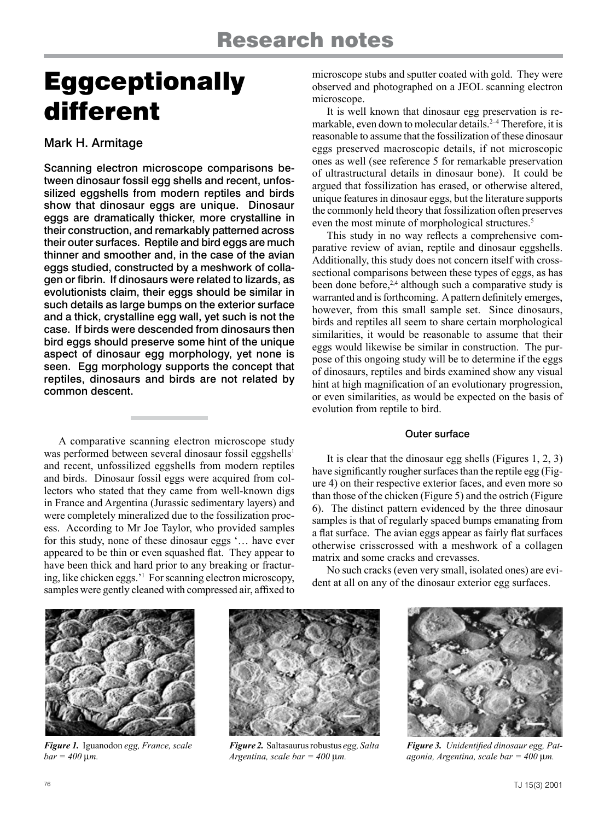# **Eggceptionally** different

## Mark H. Armitage

Scanning electron microscope comparisons between dinosaur fossil egg shells and recent, unfossilized eggshells from modern reptiles and birds show that dinosaur eggs are unique. Dinosaur eggs are dramatically thicker, more crystalline in their construction, and remarkably patterned across their outer surfaces. Reptile and bird eggs are much thinner and smoother and, in the case of the avian eggs studied, constructed by a meshwork of collagen or fibrin. If dinosaurs were related to lizards, as evolutionists claim, their eggs should be similar in such details as large bumps on the exterior surface and a thick, crystalline egg wall, yet such is not the case. If birds were descended from dinosaurs then bird eggs should preserve some hint of the unique aspect of dinosaur egg morphology, yet none is seen. Egg morphology supports the concept that reptiles, dinosaurs and birds are not related by common descent.

A comparative scanning electron microscope study was performed between several dinosaur fossil eggshells<sup>1</sup> and recent, unfossilized eggshells from modern reptiles and birds. Dinosaur fossil eggs were acquired from collectors who stated that they came from well-known digs in France and Argentina (Jurassic sedimentary layers) and were completely mineralized due to the fossilization process. According to Mr Joe Taylor, who provided samples for this study, none of these dinosaur eggs '… have ever appeared to be thin or even squashed flat. They appear to have been thick and hard prior to any breaking or fracturing, like chicken eggs.'1 For scanning electron microscopy, samples were gently cleaned with compressed air, affixed to

microscope stubs and sputter coated with gold. They were observed and photographed on a JEOL scanning electron microscope.

It is well known that dinosaur egg preservation is remarkable, even down to molecular details.<sup>2-4</sup> Therefore, it is reasonable to assume that the fossilization of these dinosaur eggs preserved macroscopic details, if not microscopic ones as well (see reference 5 for remarkable preservation of ultrastructural details in dinosaur bone). It could be argued that fossilization has erased, or otherwise altered, unique features in dinosaur eggs, but the literature supports the commonly held theory that fossilization often preserves even the most minute of morphological structures.<sup>5</sup>

This study in no way reflects a comprehensive comparative review of avian, reptile and dinosaur eggshells. Additionally, this study does not concern itself with crosssectional comparisons between these types of eggs, as has been done before,<sup>2,4</sup> although such a comparative study is warranted and is forthcoming. A pattern definitely emerges, however, from this small sample set. Since dinosaurs, birds and reptiles all seem to share certain morphological similarities, it would be reasonable to assume that their eggs would likewise be similar in construction. The purpose of this ongoing study will be to determine if the eggs of dinosaurs, reptiles and birds examined show any visual hint at high magnification of an evolutionary progression, or even similarities, as would be expected on the basis of evolution from reptile to bird.

#### Outer surface

It is clear that the dinosaur egg shells (Figures 1, 2, 3) have significantly rougher surfaces than the reptile egg (Figure 4) on their respective exterior faces, and even more so than those of the chicken (Figure 5) and the ostrich (Figure 6). The distinct pattern evidenced by the three dinosaur samples is that of regularly spaced bumps emanating from a flat surface. The avian eggs appear as fairly flat surfaces otherwise crisscrossed with a meshwork of a collagen matrix and some cracks and crevasses.

No such cracks (even very small, isolated ones) are evident at all on any of the dinosaur exterior egg surfaces.



*Figure 1.* Iguanodon *egg, France, scale*   $bar = 400 \mu m$ .



*Figure 2.* Saltasaurus robustus *egg, Salta Argentina, scale bar = 400* µ*m.*



*Figure 3. Unidentified dinosaur egg, Patagonia, Argentina, scale bar = 400* µ*m.*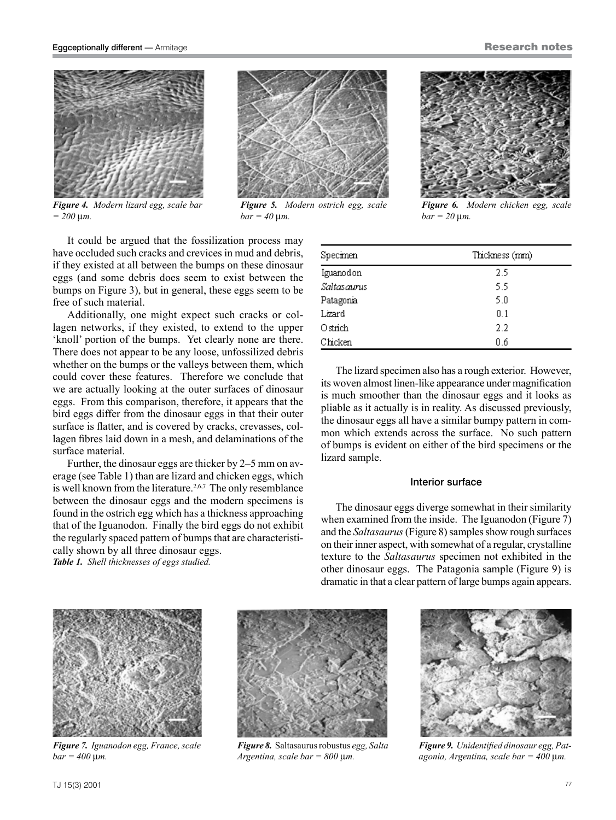#### TJ 15(3) 2001 77

 $bar = 400 \mu m$ .

 $= 200 \mu m$ .

It could be argued that the fossilization process may have occluded such cracks and crevices in mud and debris, if they existed at all between the bumps on these dinosaur eggs (and some debris does seem to exist between the bumps on Figure 3), but in general, these eggs seem to be free of such material.

Additionally, one might expect such cracks or collagen networks, if they existed, to extend to the upper 'knoll' portion of the bumps. Yet clearly none are there. There does not appear to be any loose, unfossilized debris whether on the bumps or the valleys between them, which could cover these features. Therefore we conclude that we are actually looking at the outer surfaces of dinosaur eggs. From this comparison, therefore, it appears that the bird eggs differ from the dinosaur eggs in that their outer surface is flatter, and is covered by cracks, crevasses, collagen fibres laid down in a mesh, and delaminations of the surface material.

Further, the dinosaur eggs are thicker by 2–5 mm on average (see Table 1) than are lizard and chicken eggs, which is well known from the literature.<sup>2,6,7</sup> The only resemblance between the dinosaur eggs and the modern specimens is found in the ostrich egg which has a thickness approaching that of the Iguanodon. Finally the bird eggs do not exhibit the regularly spaced pattern of bumps that are characteristically shown by all three dinosaur eggs.

*Table 1. Shell thicknesses of eggs studied.*

*Figure 7. Iguanodon egg, France, scale* 

| Specimen    | Thickness (mm) |
|-------------|----------------|
| Iguanodon   | 2.5            |
| Saltasaurus | 5.5            |
| Patagonia   | 5.0            |
| Lizard      | 0.1            |
| Ostrich     | 2.2            |
| Chicken     | Ωñ             |

 $bar = 20 \mu m$ .

The lizard specimen also has a rough exterior. However, its woven almost linen-like appearance under magnification is much smoother than the dinosaur eggs and it looks as pliable as it actually is in reality. As discussed previously, the dinosaur eggs all have a similar bumpy pattern in common which extends across the surface. No such pattern of bumps is evident on either of the bird specimens or the lizard sample.

#### Interior surface

The dinosaur eggs diverge somewhat in their similarity when examined from the inside. The Iguanodon (Figure 7) and the *Saltasaurus* (Figure 8) samples show rough surfaces on their inner aspect, with somewhat of a regular, crystalline texture to the *Saltasaurus* specimen not exhibited in the other dinosaur eggs. The Patagonia sample (Figure 9) is dramatic in that a clear pattern of large bumps again appears.

*Figure 8.* Saltasaurus robustus *egg, Salta Argentina, scale bar = 800* µ*m.*



*Figure 9. Unidentified dinosaur egg, Patagonia, Argentina, scale bar = 400* µ*m.*



Eggceptionally different — Armitage

*Figure 4. Modern lizard egg, scale bar*



 $bar = 40 \mu m$ .